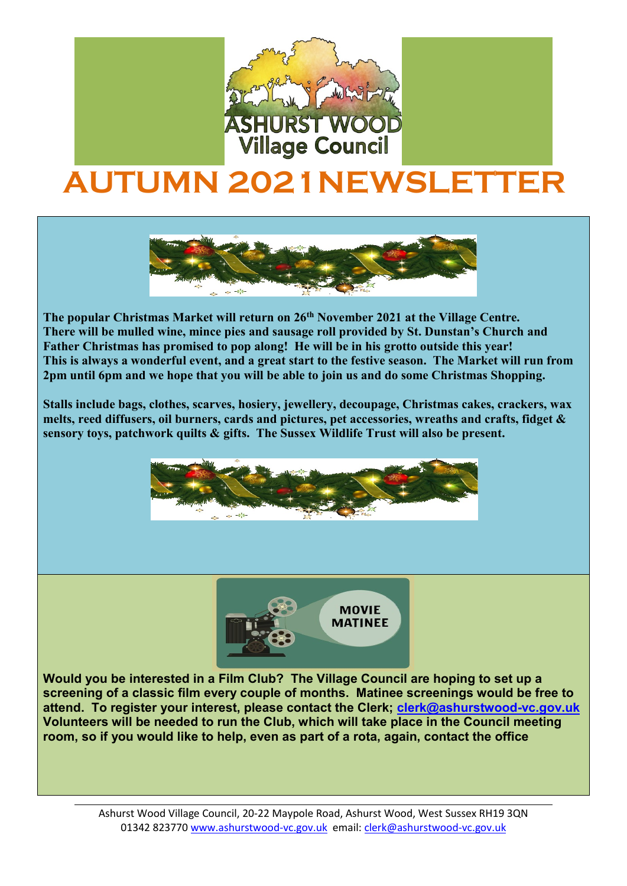

## **AUTUMN 2021NEWSLETTER**



**The popular Christmas Market will return on 26th November 2021 at the Village Centre. There will be mulled wine, mince pies and sausage roll provided by St. Dunstan's Church and Father Christmas has promised to pop along! He will be in his grotto outside this year! This is always a wonderful event, and a great start to the festive season. The Market will run from 2pm until 6pm and we hope that you will be able to join us and do some Christmas Shopping.**

**Stalls include bags, clothes, scarves, hosiery, jewellery, decoupage, Christmas cakes, crackers, wax melts, reed diffusers, oil burners, cards and pictures, pet accessories, wreaths and crafts, fidget & sensory toys, patchwork quilts & gifts. The Sussex Wildlife Trust will also be present.** 





The very

 **Would you be interested in a Film Club? The Village Council are hoping to set up a screening of a classic film every couple of months. Matinee screenings would be free to attend. To register your interest, please contact the Clerk; [clerk@ashurstwood-vc.gov.uk](mailto:clerk@ashurstwood-vc.gov.uk) Volunteers will be needed to run the Club, which will take place in the Council meeting room, so if you would like to help, even as part of a rota, again, contact the office** 

> Ashurst Wood Village Council, 20-22 Maypole Road, Ashurst Wood, West Sussex RH19 3QN 01342 823770 [www.ashurstwood-vc.gov.uk](http://www.ashurstwood-vc.gov.uk/) email: [clerk@ashurstwood-vc.gov.uk](mailto:clerk@ashurstwood-vc.gov.uk)